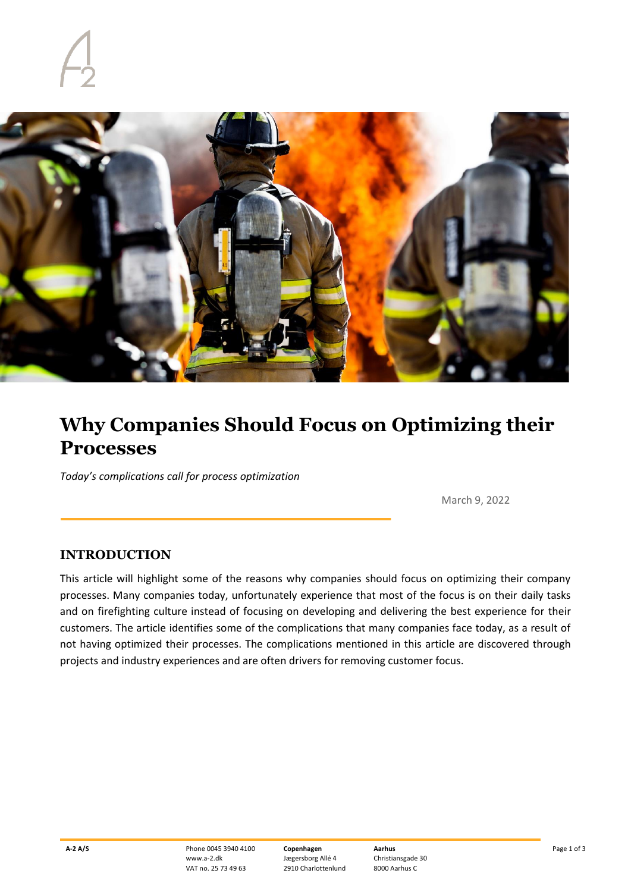

## **Why Companies Should Focus on Optimizing their Processes**

*Today's complications call for process optimization*

March 9, 2022

## **INTRODUCTION**

This article will highlight some of the reasons why companies should focus on optimizing their company processes. Many companies today, unfortunately experience that most of the focus is on their daily tasks and on firefighting culture instead of focusing on developing and delivering the best experience for their customers. The article identifies some of the complications that many companies face today, as a result of not having optimized their processes. The complications mentioned in this article are discovered through projects and industry experiences and are often drivers for removing customer focus.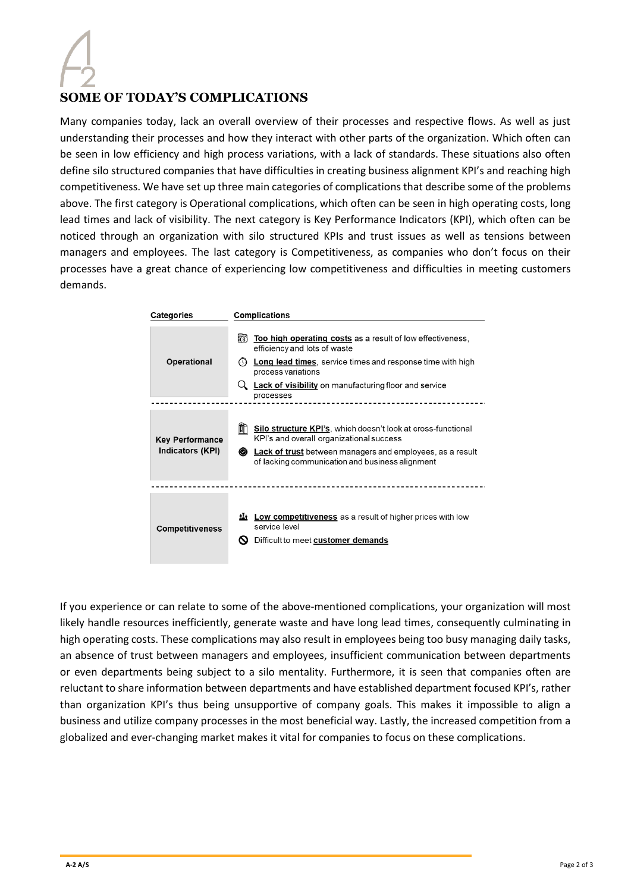## **SOME OF TODAY'S COMPLICATIONS**

Many companies today, lack an overall overview of their processes and respective flows. As well as just understanding their processes and how they interact with other parts of the organization. Which often can be seen in low efficiency and high process variations, with a lack of standards. These situations also often define silo structured companies that have difficulties in creating business alignment KPI's and reaching high competitiveness. We have set up three main categories of complications that describe some of the problems above. The first category is Operational complications, which often can be seen in high operating costs, long lead times and lack of visibility. The next category is Key Performance Indicators (KPI), which often can be noticed through an organization with silo structured KPIs and trust issues as well as tensions between managers and employees. The last category is Competitiveness, as companies who don't focus on their processes have a great chance of experiencing low competitiveness and difficulties in meeting customers demands.

| Categories                                 | <b>Complications</b>                                                                                                                                                                                                                                                          |
|--------------------------------------------|-------------------------------------------------------------------------------------------------------------------------------------------------------------------------------------------------------------------------------------------------------------------------------|
| <b>Operational</b>                         | 盷<br>Too high operating costs as a result of low effectiveness,<br>efficiency and lots of waste<br><b>Long lead times</b> , service times and response time with high<br>∩<br>process variations<br><b>Lack of visibility</b> on manufacturing floor and service<br>processes |
| <b>Key Performance</b><br>Indicators (KPI) | 酣<br><b>Silo structure KPI's, which doesn't look at cross-functional</b><br>KPI's and overall organizational success<br><b>Lack of trust</b> between managers and employees, as a result<br>◉<br>of lacking communication and business alignment                              |
| <b>Competitiveness</b>                     | <b>Low competitiveness</b> as a result of higher prices with low<br>tI+<br>service level<br>Difficult to meet customer demands<br>N                                                                                                                                           |

If you experience or can relate to some of the above-mentioned complications, your organization will most likely handle resources inefficiently, generate waste and have long lead times, consequently culminating in high operating costs. These complications may also result in employees being too busy managing daily tasks, an absence of trust between managers and employees, insufficient communication between departments or even departments being subject to a silo mentality. Furthermore, it is seen that companies often are reluctant to share information between departments and have established department focused KPI's, rather than organization KPI's thus being unsupportive of company goals. This makes it impossible to align a business and utilize company processes in the most beneficial way. Lastly, the increased competition from a globalized and ever-changing market makes it vital for companies to focus on these complications.